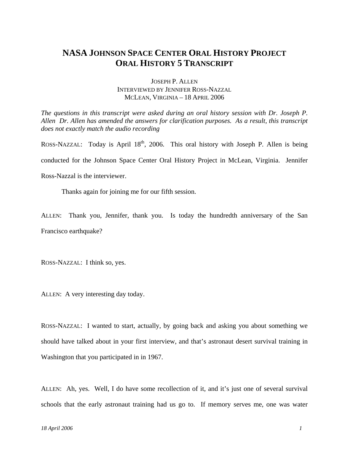## **NASA JOHNSON SPACE CENTER ORAL HISTORY PROJECT ORAL HISTORY 5 TRANSCRIPT**

## JOSEPH P. ALLEN INTERVIEWED BY JENNIFER ROSS-NAZZAL MCLEAN, VIRGINIA – 18 APRIL 2006

*The questions in this transcript were asked during an oral history session with Dr. Joseph P. Allen Dr. Allen has amended the answers for clarification purposes. As a result, this transcript does not exactly match the audio recording*

ROSS-NAZZAL: Today is April  $18<sup>th</sup>$ , 2006. This oral history with Joseph P. Allen is being conducted for the Johnson Space Center Oral History Project in McLean, Virginia. Jennifer Ross-Nazzal is the interviewer.

Thanks again for joining me for our fifth session.

ALLEN: Thank you, Jennifer, thank you. Is today the hundredth anniversary of the San Francisco earthquake?

ROSS-NAZZAL: I think so, yes.

ALLEN: A very interesting day today.

ROSS-NAZZAL: I wanted to start, actually, by going back and asking you about something we should have talked about in your first interview, and that's astronaut desert survival training in Washington that you participated in in 1967.

ALLEN: Ah, yes. Well, I do have some recollection of it, and it's just one of several survival schools that the early astronaut training had us go to. If memory serves me, one was water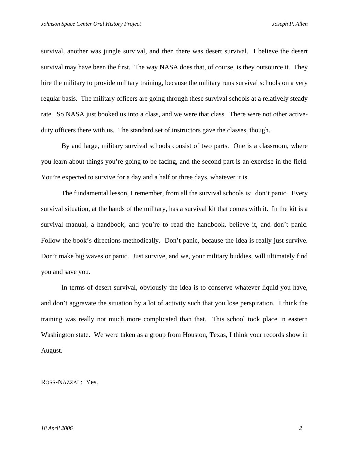survival, another was jungle survival, and then there was desert survival. I believe the desert survival may have been the first. The way NASA does that, of course, is they outsource it. They hire the military to provide military training, because the military runs survival schools on a very regular basis. The military officers are going through these survival schools at a relatively steady rate. So NASA just booked us into a class, and we were that class. There were not other activeduty officers there with us. The standard set of instructors gave the classes, though.

By and large, military survival schools consist of two parts. One is a classroom, where you learn about things you're going to be facing, and the second part is an exercise in the field. You're expected to survive for a day and a half or three days, whatever it is.

The fundamental lesson, I remember, from all the survival schools is: don't panic. Every survival situation, at the hands of the military, has a survival kit that comes with it. In the kit is a survival manual, a handbook, and you're to read the handbook, believe it, and don't panic. Follow the book's directions methodically. Don't panic, because the idea is really just survive. Don't make big waves or panic. Just survive, and we, your military buddies, will ultimately find you and save you.

In terms of desert survival, obviously the idea is to conserve whatever liquid you have, and don't aggravate the situation by a lot of activity such that you lose perspiration. I think the training was really not much more complicated than that. This school took place in eastern Washington state. We were taken as a group from Houston, Texas, I think your records show in August.

ROSS-NAZZAL: Yes.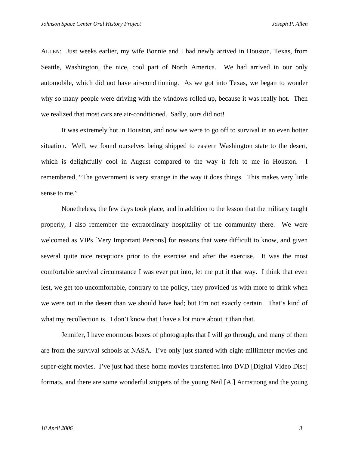ALLEN: Just weeks earlier, my wife Bonnie and I had newly arrived in Houston, Texas, from Seattle, Washington, the nice, cool part of North America. We had arrived in our only automobile, which did not have air-conditioning. As we got into Texas, we began to wonder why so many people were driving with the windows rolled up, because it was really hot. Then we realized that most cars are air-conditioned. Sadly, ours did not!

 It was extremely hot in Houston, and now we were to go off to survival in an even hotter situation. Well, we found ourselves being shipped to eastern Washington state to the desert, which is delightfully cool in August compared to the way it felt to me in Houston. I remembered, "The government is very strange in the way it does things. This makes very little sense to me."

Nonetheless, the few days took place, and in addition to the lesson that the military taught properly, I also remember the extraordinary hospitality of the community there. We were welcomed as VIPs [Very Important Persons] for reasons that were difficult to know, and given several quite nice receptions prior to the exercise and after the exercise. It was the most comfortable survival circumstance I was ever put into, let me put it that way. I think that even lest, we get too uncomfortable, contrary to the policy, they provided us with more to drink when we were out in the desert than we should have had; but I'm not exactly certain. That's kind of what my recollection is. I don't know that I have a lot more about it than that.

Jennifer, I have enormous boxes of photographs that I will go through, and many of them are from the survival schools at NASA. I've only just started with eight-millimeter movies and super-eight movies. I've just had these home movies transferred into DVD [Digital Video Disc] formats, and there are some wonderful snippets of the young Neil [A.] Armstrong and the young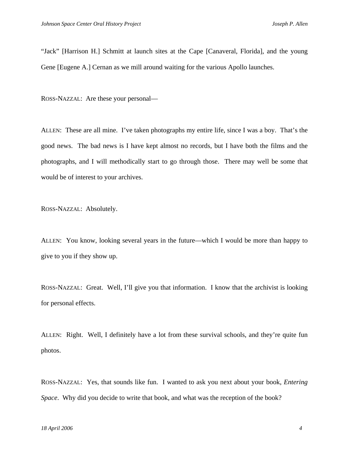"Jack" [Harrison H.] Schmitt at launch sites at the Cape [Canaveral, Florida], and the young Gene [Eugene A.] Cernan as we mill around waiting for the various Apollo launches.

ROSS-NAZZAL: Are these your personal—

ALLEN: These are all mine. I've taken photographs my entire life, since I was a boy. That's the good news. The bad news is I have kept almost no records, but I have both the films and the photographs, and I will methodically start to go through those. There may well be some that would be of interest to your archives.

ROSS-NAZZAL: Absolutely.

ALLEN: You know, looking several years in the future—which I would be more than happy to give to you if they show up.

ROSS-NAZZAL: Great. Well, I'll give you that information. I know that the archivist is looking for personal effects.

ALLEN: Right. Well, I definitely have a lot from these survival schools, and they're quite fun photos.

ROSS-NAZZAL: Yes, that sounds like fun. I wanted to ask you next about your book, *Entering Space*. Why did you decide to write that book, and what was the reception of the book?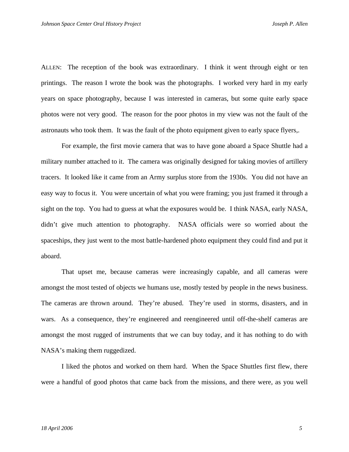ALLEN: The reception of the book was extraordinary. I think it went through eight or ten printings. The reason I wrote the book was the photographs. I worked very hard in my early years on space photography, because I was interested in cameras, but some quite early space photos were not very good. The reason for the poor photos in my view was not the fault of the astronauts who took them. It was the fault of the photo equipment given to early space flyers,.

 For example, the first movie camera that was to have gone aboard a Space Shuttle had a military number attached to it. The camera was originally designed for taking movies of artillery tracers. It looked like it came from an Army surplus store from the 1930s. You did not have an easy way to focus it. You were uncertain of what you were framing; you just framed it through a sight on the top. You had to guess at what the exposures would be. I think NASA, early NASA, didn't give much attention to photography. NASA officials were so worried about the spaceships, they just went to the most battle-hardened photo equipment they could find and put it aboard.

 That upset me, because cameras were increasingly capable, and all cameras were amongst the most tested of objects we humans use, mostly tested by people in the news business. The cameras are thrown around. They're abused. They're used in storms, disasters, and in wars. As a consequence, they're engineered and reengineered until off-the-shelf cameras are amongst the most rugged of instruments that we can buy today, and it has nothing to do with NASA's making them ruggedized.

 I liked the photos and worked on them hard. When the Space Shuttles first flew, there were a handful of good photos that came back from the missions, and there were, as you well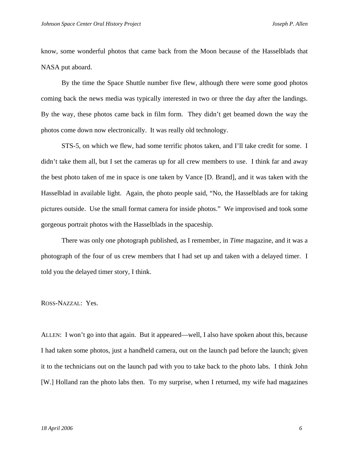know, some wonderful photos that came back from the Moon because of the Hasselblads that NASA put aboard.

 By the time the Space Shuttle number five flew, although there were some good photos coming back the news media was typically interested in two or three the day after the landings. By the way, these photos came back in film form. They didn't get beamed down the way the photos come down now electronically. It was really old technology.

 STS-5, on which we flew, had some terrific photos taken, and I'll take credit for some. I didn't take them all, but I set the cameras up for all crew members to use. I think far and away the best photo taken of me in space is one taken by Vance [D. Brand], and it was taken with the Hasselblad in available light. Again, the photo people said, "No, the Hasselblads are for taking pictures outside. Use the small format camera for inside photos." We improvised and took some gorgeous portrait photos with the Hasselblads in the spaceship.

 There was only one photograph published, as I remember, in *Time* magazine, and it was a photograph of the four of us crew members that I had set up and taken with a delayed timer. I told you the delayed timer story, I think.

ROSS-NAZZAL: Yes.

ALLEN: I won't go into that again. But it appeared—well, I also have spoken about this, because I had taken some photos, just a handheld camera, out on the launch pad before the launch; given it to the technicians out on the launch pad with you to take back to the photo labs. I think John [W.] Holland ran the photo labs then. To my surprise, when I returned, my wife had magazines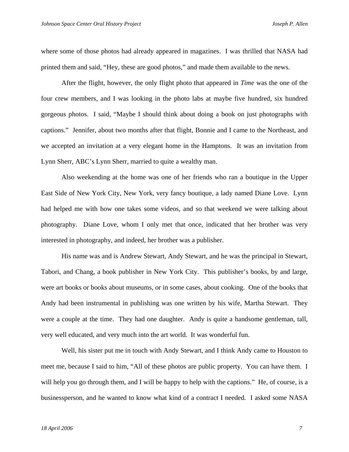where some of those photos had already appeared in magazines. I was thrilled that NASA had printed them and said, "Hey, these are good photos," and made them available to the news.

 After the flight, however, the only flight photo that appeared in *Time* was the one of the four crew members, and I was looking in the photo labs at maybe five hundred, six hundred gorgeous photos. I said, "Maybe I should think about doing a book on just photographs with captions." Jennifer, about two months after that flight, Bonnie and I came to the Northeast, and we accepted an invitation at a very elegant home in the Hamptons. It was an invitation from Lynn Sherr, ABC's Lynn Sherr, married to quite a wealthy man.

Also weekending at the home was one of her friends who ran a boutique in the Upper East Side of New York City, New York, very fancy boutique, a lady named Diane Love. Lynn had helped me with how one takes some videos, and so that weekend we were talking about photography. Diane Love, whom I only met that once, indicated that her brother was very interested in photography, and indeed, her brother was a publisher.

His name was and is Andrew Stewart, Andy Stewart, and he was the principal in Stewart, Tabori, and Chang, a book publisher in New York City. This publisher's books, by and large, were art books or books about museums, or in some cases, about cooking. One of the books that Andy had been instrumental in publishing was one written by his wife, Martha Stewart. They were a couple at the time. They had one daughter. Andy is quite a handsome gentleman, tall, very well educated, and very much into the art world. It was wonderful fun.

 Well, his sister put me in touch with Andy Stewart, and I think Andy came to Houston to meet me, because I said to him, "All of these photos are public property. You can have them. I will help you go through them, and I will be happy to help with the captions." He, of course, is a businessperson, and he wanted to know what kind of a contract I needed. I asked some NASA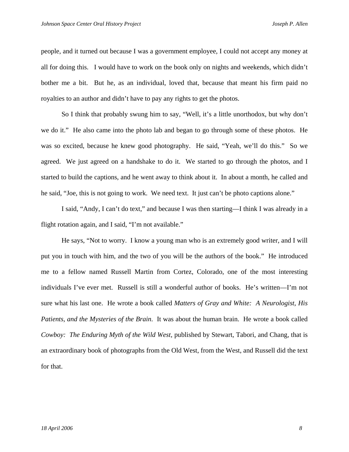people, and it turned out because I was a government employee, I could not accept any money at all for doing this. I would have to work on the book only on nights and weekends, which didn't bother me a bit. But he, as an individual, loved that, because that meant his firm paid no royalties to an author and didn't have to pay any rights to get the photos.

So I think that probably swung him to say, "Well, it's a little unorthodox, but why don't we do it." He also came into the photo lab and began to go through some of these photos. He was so excited, because he knew good photography. He said, "Yeah, we'll do this." So we agreed. We just agreed on a handshake to do it. We started to go through the photos, and I started to build the captions, and he went away to think about it. In about a month, he called and he said, "Joe, this is not going to work. We need text. It just can't be photo captions alone."

I said, "Andy, I can't do text," and because I was then starting—I think I was already in a flight rotation again, and I said, "I'm not available."

He says, "Not to worry. I know a young man who is an extremely good writer, and I will put you in touch with him, and the two of you will be the authors of the book." He introduced me to a fellow named Russell Martin from Cortez, Colorado, one of the most interesting individuals I've ever met. Russell is still a wonderful author of books. He's written—I'm not sure what his last one. He wrote a book called *Matters of Gray and White: A Neurologist, His Patients, and the Mysteries of the Brain*. It was about the human brain. He wrote a book called *Cowboy: The Enduring Myth of the Wild West*, published by Stewart, Tabori, and Chang, that is an extraordinary book of photographs from the Old West, from the West, and Russell did the text for that.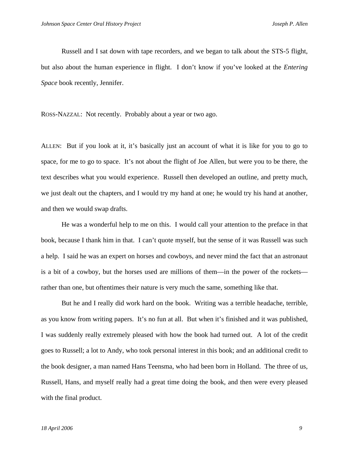Russell and I sat down with tape recorders, and we began to talk about the STS-5 flight, but also about the human experience in flight. I don't know if you've looked at the *Entering Space* book recently, Jennifer.

ROSS-NAZZAL: Not recently. Probably about a year or two ago.

ALLEN: But if you look at it, it's basically just an account of what it is like for you to go to space, for me to go to space. It's not about the flight of Joe Allen, but were you to be there, the text describes what you would experience. Russell then developed an outline, and pretty much, we just dealt out the chapters, and I would try my hand at one; he would try his hand at another, and then we would swap drafts.

He was a wonderful help to me on this. I would call your attention to the preface in that book, because I thank him in that. I can't quote myself, but the sense of it was Russell was such a help. I said he was an expert on horses and cowboys, and never mind the fact that an astronaut is a bit of a cowboy, but the horses used are millions of them—in the power of the rockets rather than one, but oftentimes their nature is very much the same, something like that.

 But he and I really did work hard on the book. Writing was a terrible headache, terrible, as you know from writing papers. It's no fun at all. But when it's finished and it was published, I was suddenly really extremely pleased with how the book had turned out. A lot of the credit goes to Russell; a lot to Andy, who took personal interest in this book; and an additional credit to the book designer, a man named Hans Teensma, who had been born in Holland. The three of us, Russell, Hans, and myself really had a great time doing the book, and then were every pleased with the final product.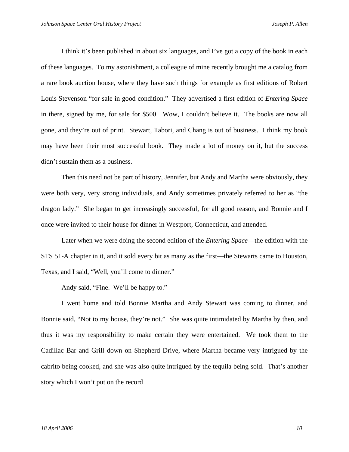I think it's been published in about six languages, and I've got a copy of the book in each of these languages. To my astonishment, a colleague of mine recently brought me a catalog from a rare book auction house, where they have such things for example as first editions of Robert Louis Stevenson "for sale in good condition." They advertised a first edition of *Entering Space* in there, signed by me, for sale for \$500. Wow, I couldn't believe it. The books are now all gone, and they're out of print. Stewart, Tabori, and Chang is out of business. I think my book may have been their most successful book. They made a lot of money on it, but the success didn't sustain them as a business.

Then this need not be part of history, Jennifer, but Andy and Martha were obviously, they were both very, very strong individuals, and Andy sometimes privately referred to her as "the dragon lady." She began to get increasingly successful, for all good reason, and Bonnie and I once were invited to their house for dinner in Westport, Connecticut, and attended.

Later when we were doing the second edition of the *Entering Space*—the edition with the STS 51-A chapter in it, and it sold every bit as many as the first—the Stewarts came to Houston, Texas, and I said, "Well, you'll come to dinner."

Andy said, "Fine. We'll be happy to."

I went home and told Bonnie Martha and Andy Stewart was coming to dinner, and Bonnie said, "Not to my house, they're not." She was quite intimidated by Martha by then, and thus it was my responsibility to make certain they were entertained. We took them to the Cadillac Bar and Grill down on Shepherd Drive, where Martha became very intrigued by the cabrito being cooked, and she was also quite intrigued by the tequila being sold. That's another story which I won't put on the record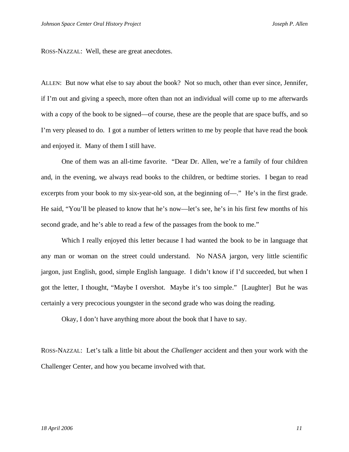ROSS-NAZZAL: Well, these are great anecdotes.

ALLEN: But now what else to say about the book? Not so much, other than ever since, Jennifer, if I'm out and giving a speech, more often than not an individual will come up to me afterwards with a copy of the book to be signed—of course, these are the people that are space buffs, and so I'm very pleased to do. I got a number of letters written to me by people that have read the book and enjoyed it. Many of them I still have.

 One of them was an all-time favorite. "Dear Dr. Allen, we're a family of four children and, in the evening, we always read books to the children, or bedtime stories. I began to read excerpts from your book to my six-year-old son, at the beginning of—." He's in the first grade. He said, "You'll be pleased to know that he's now—let's see, he's in his first few months of his second grade, and he's able to read a few of the passages from the book to me."

Which I really enjoyed this letter because I had wanted the book to be in language that any man or woman on the street could understand. No NASA jargon, very little scientific jargon, just English, good, simple English language. I didn't know if I'd succeeded, but when I got the letter, I thought, "Maybe I overshot. Maybe it's too simple." [Laughter] But he was certainly a very precocious youngster in the second grade who was doing the reading.

Okay, I don't have anything more about the book that I have to say.

ROSS-NAZZAL: Let's talk a little bit about the *Challenger* accident and then your work with the Challenger Center, and how you became involved with that.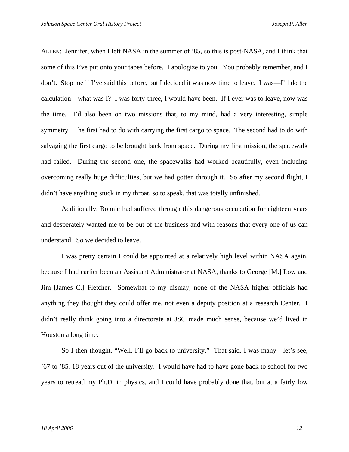ALLEN: Jennifer, when I left NASA in the summer of '85, so this is post-NASA, and I think that some of this I've put onto your tapes before. I apologize to you. You probably remember, and I don't. Stop me if I've said this before, but I decided it was now time to leave. I was—I'll do the calculation—what was I? I was forty-three, I would have been. If I ever was to leave, now was the time. I'd also been on two missions that, to my mind, had a very interesting, simple symmetry. The first had to do with carrying the first cargo to space. The second had to do with salvaging the first cargo to be brought back from space. During my first mission, the spacewalk had failed. During the second one, the spacewalks had worked beautifully, even including overcoming really huge difficulties, but we had gotten through it. So after my second flight, I didn't have anything stuck in my throat, so to speak, that was totally unfinished.

Additionally, Bonnie had suffered through this dangerous occupation for eighteen years and desperately wanted me to be out of the business and with reasons that every one of us can understand. So we decided to leave.

 I was pretty certain I could be appointed at a relatively high level within NASA again, because I had earlier been an Assistant Administrator at NASA, thanks to George [M.] Low and Jim [James C.] Fletcher. Somewhat to my dismay, none of the NASA higher officials had anything they thought they could offer me, not even a deputy position at a research Center. I didn't really think going into a directorate at JSC made much sense, because we'd lived in Houston a long time.

So I then thought, "Well, I'll go back to university." That said, I was many—let's see, '67 to '85, 18 years out of the university. I would have had to have gone back to school for two years to retread my Ph.D. in physics, and I could have probably done that, but at a fairly low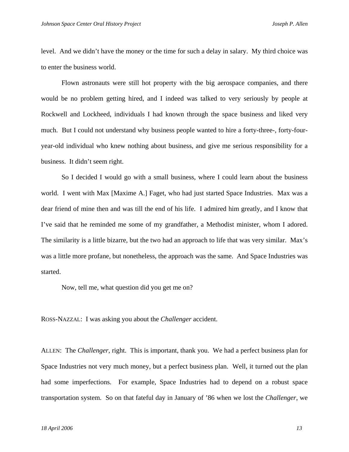level. And we didn't have the money or the time for such a delay in salary. My third choice was to enter the business world.

 Flown astronauts were still hot property with the big aerospace companies, and there would be no problem getting hired, and I indeed was talked to very seriously by people at Rockwell and Lockheed, individuals I had known through the space business and liked very much. But I could not understand why business people wanted to hire a forty-three-, forty-fouryear-old individual who knew nothing about business, and give me serious responsibility for a business. It didn't seem right.

 So I decided I would go with a small business, where I could learn about the business world. I went with Max [Maxime A.] Faget, who had just started Space Industries. Max was a dear friend of mine then and was till the end of his life. I admired him greatly, and I know that I've said that he reminded me some of my grandfather, a Methodist minister, whom I adored. The similarity is a little bizarre, but the two had an approach to life that was very similar. Max's was a little more profane, but nonetheless, the approach was the same. And Space Industries was started.

Now, tell me, what question did you get me on?

ROSS-NAZZAL: I was asking you about the *Challenger* accident.

ALLEN: The *Challenger*, right. This is important, thank you. We had a perfect business plan for Space Industries not very much money, but a perfect business plan. Well, it turned out the plan had some imperfections. For example, Space Industries had to depend on a robust space transportation system. So on that fateful day in January of '86 when we lost the *Challenger*, we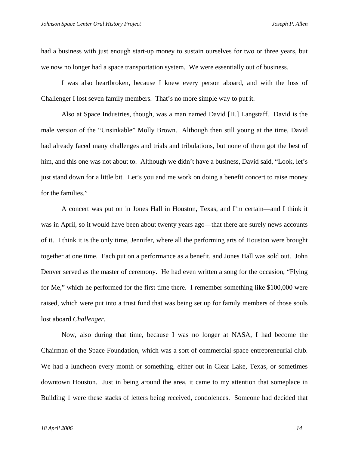had a business with just enough start-up money to sustain ourselves for two or three years, but we now no longer had a space transportation system. We were essentially out of business.

 I was also heartbroken, because I knew every person aboard, and with the loss of Challenger I lost seven family members. That's no more simple way to put it.

 Also at Space Industries, though, was a man named David [H.] Langstaff. David is the male version of the "Unsinkable" Molly Brown. Although then still young at the time, David had already faced many challenges and trials and tribulations, but none of them got the best of him, and this one was not about to. Although we didn't have a business, David said, "Look, let's just stand down for a little bit. Let's you and me work on doing a benefit concert to raise money for the families."

A concert was put on in Jones Hall in Houston, Texas, and I'm certain—and I think it was in April, so it would have been about twenty years ago—that there are surely news accounts of it. I think it is the only time, Jennifer, where all the performing arts of Houston were brought together at one time. Each put on a performance as a benefit, and Jones Hall was sold out. John Denver served as the master of ceremony. He had even written a song for the occasion, "Flying for Me," which he performed for the first time there. I remember something like \$100,000 were raised, which were put into a trust fund that was being set up for family members of those souls lost aboard *Challenger*.

Now, also during that time, because I was no longer at NASA, I had become the Chairman of the Space Foundation, which was a sort of commercial space entrepreneurial club. We had a luncheon every month or something, either out in Clear Lake, Texas, or sometimes downtown Houston. Just in being around the area, it came to my attention that someplace in Building 1 were these stacks of letters being received, condolences. Someone had decided that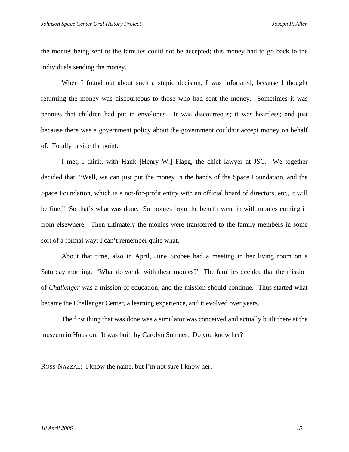the monies being sent to the families could not be accepted; this money had to go back to the individuals sending the money.

When I found out about such a stupid decision, I was infuriated, because I thought returning the money was discourteous to those who had sent the money. Sometimes it was pennies that children had put in envelopes. It was discourteous; it was heartless; and just because there was a government policy about the government couldn't accept money on behalf of. Totally beside the point.

I met, I think, with Hank [Henry W.] Flagg, the chief lawyer at JSC. We together decided that, "Well, we can just put the money in the hands of the Space Foundation, and the Space Foundation, which is a not-for-profit entity with an official board of directors, etc., it will be fine." So that's what was done. So monies from the benefit went in with monies coming in from elsewhere. Then ultimately the monies were transferred to the family members in some sort of a formal way; I can't remember quite what.

About that time, also in April, June Scobee had a meeting in her living room on a Saturday morning. "What do we do with these monies?" The families decided that the mission of *Challenger* was a mission of education, and the mission should continue. Thus started what became the Challenger Center, a learning experience, and it evolved over years.

The first thing that was done was a simulator was conceived and actually built there at the museum in Houston. It was built by Carolyn Sumner. Do you know her?

ROSS-NAZZAL: I know the name, but I'm not sure I know her.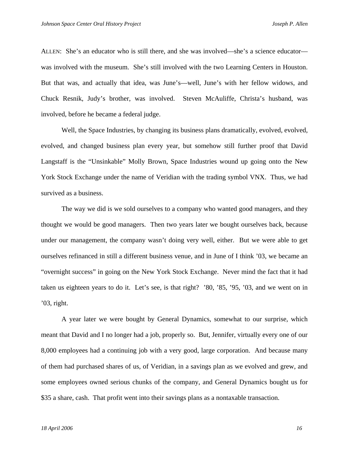ALLEN: She's an educator who is still there, and she was involved—she's a science educator was involved with the museum. She's still involved with the two Learning Centers in Houston. But that was, and actually that idea, was June's—well, June's with her fellow widows, and Chuck Resnik, Judy's brother, was involved. Steven McAuliffe, Christa's husband, was involved, before he became a federal judge.

 Well, the Space Industries, by changing its business plans dramatically, evolved, evolved, evolved, and changed business plan every year, but somehow still further proof that David Langstaff is the "Unsinkable" Molly Brown, Space Industries wound up going onto the New York Stock Exchange under the name of Veridian with the trading symbol VNX. Thus, we had survived as a business.

The way we did is we sold ourselves to a company who wanted good managers, and they thought we would be good managers. Then two years later we bought ourselves back, because under our management, the company wasn't doing very well, either. But we were able to get ourselves refinanced in still a different business venue, and in June of I think '03, we became an "overnight success" in going on the New York Stock Exchange. Never mind the fact that it had taken us eighteen years to do it. Let's see, is that right? '80, '85, '95, '03, and we went on in '03, right.

A year later we were bought by General Dynamics, somewhat to our surprise, which meant that David and I no longer had a job, properly so. But, Jennifer, virtually every one of our 8,000 employees had a continuing job with a very good, large corporation. And because many of them had purchased shares of us, of Veridian, in a savings plan as we evolved and grew, and some employees owned serious chunks of the company, and General Dynamics bought us for \$35 a share, cash. That profit went into their savings plans as a nontaxable transaction.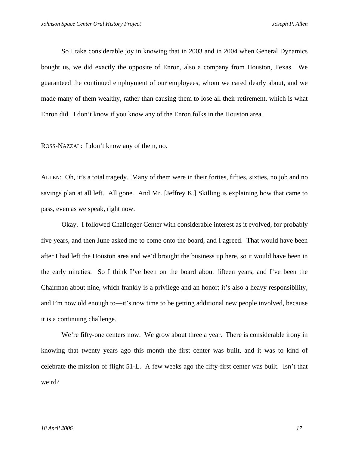So I take considerable joy in knowing that in 2003 and in 2004 when General Dynamics bought us, we did exactly the opposite of Enron, also a company from Houston, Texas. We guaranteed the continued employment of our employees, whom we cared dearly about, and we made many of them wealthy, rather than causing them to lose all their retirement, which is what Enron did. I don't know if you know any of the Enron folks in the Houston area.

ROSS-NAZZAL: I don't know any of them, no.

ALLEN: Oh, it's a total tragedy. Many of them were in their forties, fifties, sixties, no job and no savings plan at all left. All gone. And Mr. [Jeffrey K.] Skilling is explaining how that came to pass, even as we speak, right now.

 Okay. I followed Challenger Center with considerable interest as it evolved, for probably five years, and then June asked me to come onto the board, and I agreed. That would have been after I had left the Houston area and we'd brought the business up here, so it would have been in the early nineties. So I think I've been on the board about fifteen years, and I've been the Chairman about nine, which frankly is a privilege and an honor; it's also a heavy responsibility, and I'm now old enough to—it's now time to be getting additional new people involved, because it is a continuing challenge.

We're fifty-one centers now. We grow about three a year. There is considerable irony in knowing that twenty years ago this month the first center was built, and it was to kind of celebrate the mission of flight 51-L. A few weeks ago the fifty-first center was built. Isn't that weird?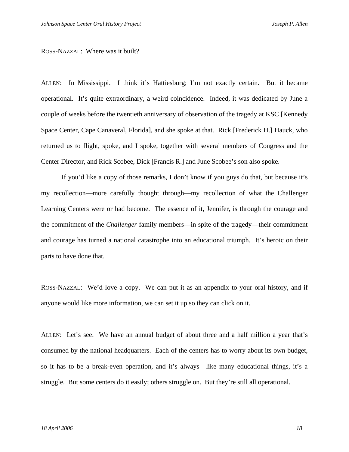## ROSS-NAZZAL: Where was it built?

ALLEN: In Mississippi. I think it's Hattiesburg; I'm not exactly certain. But it became operational. It's quite extraordinary, a weird coincidence. Indeed, it was dedicated by June a couple of weeks before the twentieth anniversary of observation of the tragedy at KSC [Kennedy Space Center, Cape Canaveral, Florida], and she spoke at that. Rick [Frederick H.] Hauck, who returned us to flight, spoke, and I spoke, together with several members of Congress and the Center Director, and Rick Scobee, Dick [Francis R.] and June Scobee's son also spoke.

If you'd like a copy of those remarks, I don't know if you guys do that, but because it's my recollection—more carefully thought through—my recollection of what the Challenger Learning Centers were or had become. The essence of it, Jennifer, is through the courage and the commitment of the *Challenger* family members—in spite of the tragedy—their commitment and courage has turned a national catastrophe into an educational triumph. It's heroic on their parts to have done that.

ROSS-NAZZAL: We'd love a copy. We can put it as an appendix to your oral history, and if anyone would like more information, we can set it up so they can click on it.

ALLEN: Let's see. We have an annual budget of about three and a half million a year that's consumed by the national headquarters. Each of the centers has to worry about its own budget, so it has to be a break-even operation, and it's always—like many educational things, it's a struggle. But some centers do it easily; others struggle on. But they're still all operational.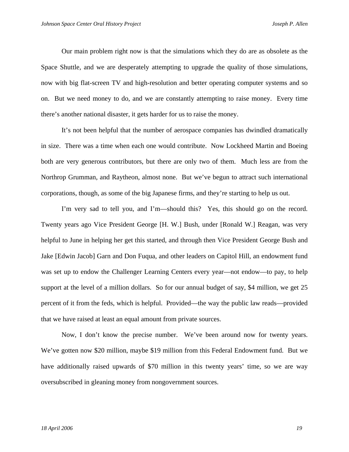Our main problem right now is that the simulations which they do are as obsolete as the Space Shuttle, and we are desperately attempting to upgrade the quality of those simulations, now with big flat-screen TV and high-resolution and better operating computer systems and so on. But we need money to do, and we are constantly attempting to raise money. Every time there's another national disaster, it gets harder for us to raise the money.

It's not been helpful that the number of aerospace companies has dwindled dramatically in size. There was a time when each one would contribute. Now Lockheed Martin and Boeing both are very generous contributors, but there are only two of them. Much less are from the Northrop Grumman, and Raytheon, almost none. But we've begun to attract such international corporations, though, as some of the big Japanese firms, and they're starting to help us out.

 I'm very sad to tell you, and I'm—should this? Yes, this should go on the record. Twenty years ago Vice President George [H. W.] Bush, under [Ronald W.] Reagan, was very helpful to June in helping her get this started, and through then Vice President George Bush and Jake [Edwin Jacob] Garn and Don Fuqua, and other leaders on Capitol Hill, an endowment fund was set up to endow the Challenger Learning Centers every year—not endow—to pay, to help support at the level of a million dollars. So for our annual budget of say, \$4 million, we get 25 percent of it from the feds, which is helpful. Provided—the way the public law reads—provided that we have raised at least an equal amount from private sources.

Now, I don't know the precise number. We've been around now for twenty years. We've gotten now \$20 million, maybe \$19 million from this Federal Endowment fund. But we have additionally raised upwards of \$70 million in this twenty years' time, so we are way oversubscribed in gleaning money from nongovernment sources.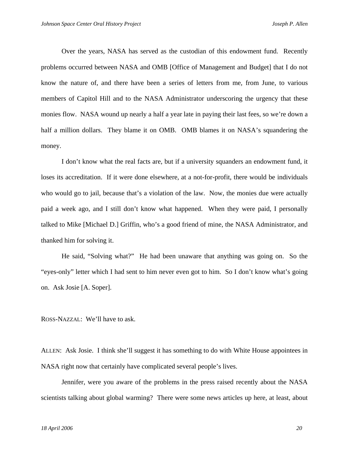Over the years, NASA has served as the custodian of this endowment fund. Recently problems occurred between NASA and OMB [Office of Management and Budget] that I do not know the nature of, and there have been a series of letters from me, from June, to various members of Capitol Hill and to the NASA Administrator underscoring the urgency that these monies flow. NASA wound up nearly a half a year late in paying their last fees, so we're down a half a million dollars. They blame it on OMB. OMB blames it on NASA's squandering the money.

I don't know what the real facts are, but if a university squanders an endowment fund, it loses its accreditation. If it were done elsewhere, at a not-for-profit, there would be individuals who would go to jail, because that's a violation of the law. Now, the monies due were actually paid a week ago, and I still don't know what happened. When they were paid, I personally talked to Mike [Michael D.] Griffin, who's a good friend of mine, the NASA Administrator, and thanked him for solving it.

He said, "Solving what?" He had been unaware that anything was going on. So the "eyes-only" letter which I had sent to him never even got to him. So I don't know what's going on. Ask Josie [A. Soper].

ROSS-NAZZAL: We'll have to ask.

ALLEN: Ask Josie. I think she'll suggest it has something to do with White House appointees in NASA right now that certainly have complicated several people's lives.

 Jennifer, were you aware of the problems in the press raised recently about the NASA scientists talking about global warming? There were some news articles up here, at least, about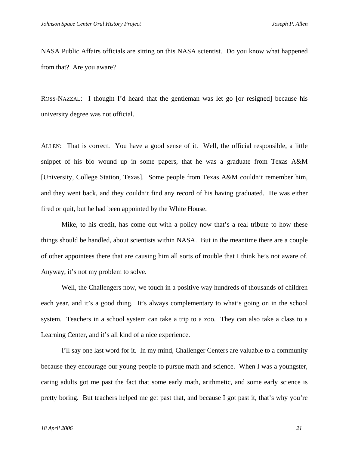NASA Public Affairs officials are sitting on this NASA scientist. Do you know what happened from that? Are you aware?

ROSS-NAZZAL: I thought I'd heard that the gentleman was let go [or resigned] because his university degree was not official.

ALLEN: That is correct. You have a good sense of it. Well, the official responsible, a little snippet of his bio wound up in some papers, that he was a graduate from Texas A&M [University, College Station, Texas]. Some people from Texas A&M couldn't remember him, and they went back, and they couldn't find any record of his having graduated. He was either fired or quit, but he had been appointed by the White House.

Mike, to his credit, has come out with a policy now that's a real tribute to how these things should be handled, about scientists within NASA. But in the meantime there are a couple of other appointees there that are causing him all sorts of trouble that I think he's not aware of. Anyway, it's not my problem to solve.

Well, the Challengers now, we touch in a positive way hundreds of thousands of children each year, and it's a good thing. It's always complementary to what's going on in the school system. Teachers in a school system can take a trip to a zoo. They can also take a class to a Learning Center, and it's all kind of a nice experience.

I'll say one last word for it. In my mind, Challenger Centers are valuable to a community because they encourage our young people to pursue math and science. When I was a youngster, caring adults got me past the fact that some early math, arithmetic, and some early science is pretty boring. But teachers helped me get past that, and because I got past it, that's why you're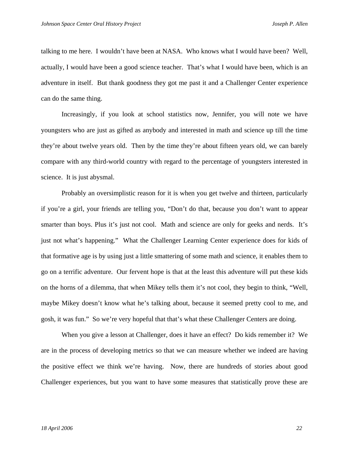talking to me here. I wouldn't have been at NASA. Who knows what I would have been? Well, actually, I would have been a good science teacher. That's what I would have been, which is an adventure in itself. But thank goodness they got me past it and a Challenger Center experience can do the same thing.

Increasingly, if you look at school statistics now, Jennifer, you will note we have youngsters who are just as gifted as anybody and interested in math and science up till the time they're about twelve years old. Then by the time they're about fifteen years old, we can barely compare with any third-world country with regard to the percentage of youngsters interested in science. It is just abysmal.

Probably an oversimplistic reason for it is when you get twelve and thirteen, particularly if you're a girl, your friends are telling you, "Don't do that, because you don't want to appear smarter than boys. Plus it's just not cool. Math and science are only for geeks and nerds. It's just not what's happening." What the Challenger Learning Center experience does for kids of that formative age is by using just a little smattering of some math and science, it enables them to go on a terrific adventure. Our fervent hope is that at the least this adventure will put these kids on the horns of a dilemma, that when Mikey tells them it's not cool, they begin to think, "Well, maybe Mikey doesn't know what he's talking about, because it seemed pretty cool to me, and gosh, it was fun." So we're very hopeful that that's what these Challenger Centers are doing.

When you give a lesson at Challenger, does it have an effect? Do kids remember it? We are in the process of developing metrics so that we can measure whether we indeed are having the positive effect we think we're having. Now, there are hundreds of stories about good Challenger experiences, but you want to have some measures that statistically prove these are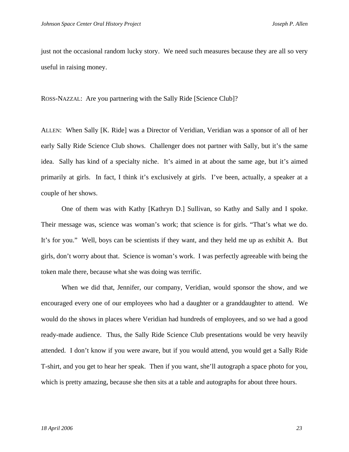just not the occasional random lucky story. We need such measures because they are all so very useful in raising money.

ROSS-NAZZAL: Are you partnering with the Sally Ride [Science Club]?

ALLEN: When Sally [K. Ride] was a Director of Veridian, Veridian was a sponsor of all of her early Sally Ride Science Club shows. Challenger does not partner with Sally, but it's the same idea. Sally has kind of a specialty niche. It's aimed in at about the same age, but it's aimed primarily at girls. In fact, I think it's exclusively at girls. I've been, actually, a speaker at a couple of her shows.

One of them was with Kathy [Kathryn D.] Sullivan, so Kathy and Sally and I spoke. Their message was, science was woman's work; that science is for girls. "That's what we do. It's for you." Well, boys can be scientists if they want, and they held me up as exhibit A. But girls, don't worry about that. Science is woman's work. I was perfectly agreeable with being the token male there, because what she was doing was terrific.

When we did that, Jennifer, our company, Veridian, would sponsor the show, and we encouraged every one of our employees who had a daughter or a granddaughter to attend. We would do the shows in places where Veridian had hundreds of employees, and so we had a good ready-made audience. Thus, the Sally Ride Science Club presentations would be very heavily attended. I don't know if you were aware, but if you would attend, you would get a Sally Ride T-shirt, and you get to hear her speak. Then if you want, she'll autograph a space photo for you, which is pretty amazing, because she then sits at a table and autographs for about three hours.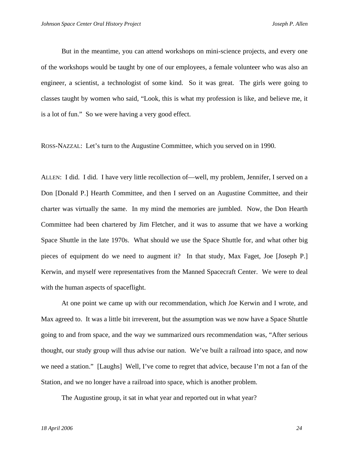But in the meantime, you can attend workshops on mini-science projects, and every one of the workshops would be taught by one of our employees, a female volunteer who was also an engineer, a scientist, a technologist of some kind. So it was great. The girls were going to classes taught by women who said, "Look, this is what my profession is like, and believe me, it is a lot of fun." So we were having a very good effect.

ROSS-NAZZAL: Let's turn to the Augustine Committee, which you served on in 1990.

ALLEN: I did. I did. I have very little recollection of—well, my problem, Jennifer, I served on a Don [Donald P.] Hearth Committee, and then I served on an Augustine Committee, and their charter was virtually the same. In my mind the memories are jumbled. Now, the Don Hearth Committee had been chartered by Jim Fletcher, and it was to assume that we have a working Space Shuttle in the late 1970s. What should we use the Space Shuttle for, and what other big pieces of equipment do we need to augment it? In that study, Max Faget, Joe [Joseph P.] Kerwin, and myself were representatives from the Manned Spacecraft Center. We were to deal with the human aspects of spaceflight.

At one point we came up with our recommendation, which Joe Kerwin and I wrote, and Max agreed to. It was a little bit irreverent, but the assumption was we now have a Space Shuttle going to and from space, and the way we summarized ours recommendation was, "After serious thought, our study group will thus advise our nation. We've built a railroad into space, and now we need a station." [Laughs] Well, I've come to regret that advice, because I'm not a fan of the Station, and we no longer have a railroad into space, which is another problem.

The Augustine group, it sat in what year and reported out in what year?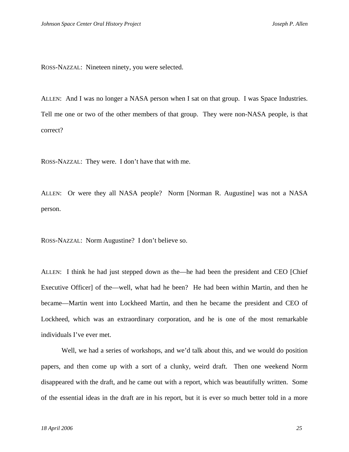ROSS-NAZZAL: Nineteen ninety, you were selected.

ALLEN: And I was no longer a NASA person when I sat on that group. I was Space Industries. Tell me one or two of the other members of that group. They were non-NASA people, is that correct?

ROSS-NAZZAL: They were. I don't have that with me.

ALLEN: Or were they all NASA people? Norm [Norman R. Augustine] was not a NASA person.

ROSS-NAZZAL: Norm Augustine? I don't believe so.

ALLEN: I think he had just stepped down as the—he had been the president and CEO [Chief Executive Officer] of the—well, what had he been? He had been within Martin, and then he became—Martin went into Lockheed Martin, and then he became the president and CEO of Lockheed, which was an extraordinary corporation, and he is one of the most remarkable individuals I've ever met.

 Well, we had a series of workshops, and we'd talk about this, and we would do position papers, and then come up with a sort of a clunky, weird draft. Then one weekend Norm disappeared with the draft, and he came out with a report, which was beautifully written. Some of the essential ideas in the draft are in his report, but it is ever so much better told in a more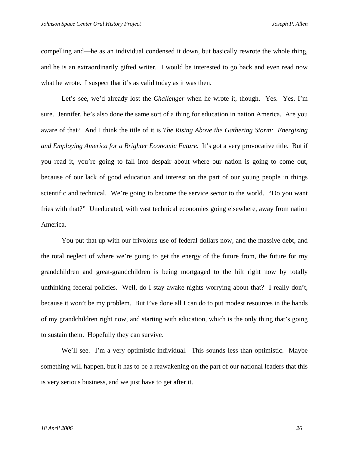compelling and—he as an individual condensed it down, but basically rewrote the whole thing, and he is an extraordinarily gifted writer. I would be interested to go back and even read now what he wrote. I suspect that it's as valid today as it was then.

 Let's see, we'd already lost the *Challenger* when he wrote it, though. Yes. Yes, I'm sure. Jennifer, he's also done the same sort of a thing for education in nation America. Are you aware of that? And I think the title of it is *The Rising Above the Gathering Storm: Energizing and Employing America for a Brighter Economic Future*. It's got a very provocative title. But if you read it, you're going to fall into despair about where our nation is going to come out, because of our lack of good education and interest on the part of our young people in things scientific and technical. We're going to become the service sector to the world. "Do you want fries with that?" Uneducated, with vast technical economies going elsewhere, away from nation America.

You put that up with our frivolous use of federal dollars now, and the massive debt, and the total neglect of where we're going to get the energy of the future from, the future for my grandchildren and great-grandchildren is being mortgaged to the hilt right now by totally unthinking federal policies. Well, do I stay awake nights worrying about that? I really don't, because it won't be my problem. But I've done all I can do to put modest resources in the hands of my grandchildren right now, and starting with education, which is the only thing that's going to sustain them. Hopefully they can survive.

We'll see. I'm a very optimistic individual. This sounds less than optimistic. Maybe something will happen, but it has to be a reawakening on the part of our national leaders that this is very serious business, and we just have to get after it.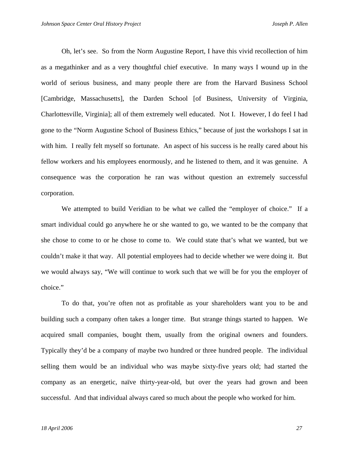Oh, let's see. So from the Norm Augustine Report, I have this vivid recollection of him as a megathinker and as a very thoughtful chief executive. In many ways I wound up in the world of serious business, and many people there are from the Harvard Business School [Cambridge, Massachusetts], the Darden School [of Business, University of Virginia, Charlottesville, Virginia]; all of them extremely well educated. Not I. However, I do feel I had gone to the "Norm Augustine School of Business Ethics," because of just the workshops I sat in with him. I really felt myself so fortunate. An aspect of his success is he really cared about his fellow workers and his employees enormously, and he listened to them, and it was genuine. A consequence was the corporation he ran was without question an extremely successful corporation.

We attempted to build Veridian to be what we called the "employer of choice." If a smart individual could go anywhere he or she wanted to go, we wanted to be the company that she chose to come to or he chose to come to. We could state that's what we wanted, but we couldn't make it that way. All potential employees had to decide whether we were doing it. But we would always say, "We will continue to work such that we will be for you the employer of choice."

To do that, you're often not as profitable as your shareholders want you to be and building such a company often takes a longer time. But strange things started to happen. We acquired small companies, bought them, usually from the original owners and founders. Typically they'd be a company of maybe two hundred or three hundred people. The individual selling them would be an individual who was maybe sixty-five years old; had started the company as an energetic, naïve thirty-year-old, but over the years had grown and been successful. And that individual always cared so much about the people who worked for him.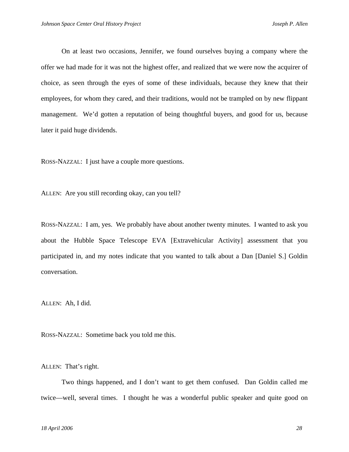On at least two occasions, Jennifer, we found ourselves buying a company where the offer we had made for it was not the highest offer, and realized that we were now the acquirer of choice, as seen through the eyes of some of these individuals, because they knew that their employees, for whom they cared, and their traditions, would not be trampled on by new flippant management. We'd gotten a reputation of being thoughtful buyers, and good for us, because later it paid huge dividends.

ROSS-NAZZAL: I just have a couple more questions.

ALLEN: Are you still recording okay, can you tell?

ROSS-NAZZAL: I am, yes. We probably have about another twenty minutes. I wanted to ask you about the Hubble Space Telescope EVA [Extravehicular Activity] assessment that you participated in, and my notes indicate that you wanted to talk about a Dan [Daniel S.] Goldin conversation.

ALLEN: Ah, I did.

ROSS-NAZZAL: Sometime back you told me this.

ALLEN: That's right.

Two things happened, and I don't want to get them confused. Dan Goldin called me twice—well, several times. I thought he was a wonderful public speaker and quite good on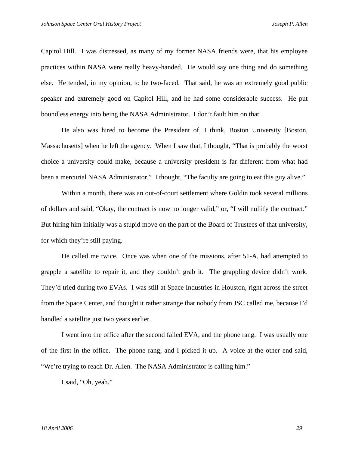Capitol Hill. I was distressed, as many of my former NASA friends were, that his employee practices within NASA were really heavy-handed. He would say one thing and do something else. He tended, in my opinion, to be two-faced. That said, he was an extremely good public speaker and extremely good on Capitol Hill, and he had some considerable success. He put boundless energy into being the NASA Administrator. I don't fault him on that.

 He also was hired to become the President of, I think, Boston University [Boston, Massachusetts] when he left the agency. When I saw that, I thought, "That is probably the worst choice a university could make, because a university president is far different from what had been a mercurial NASA Administrator." I thought, "The faculty are going to eat this guy alive."

Within a month, there was an out-of-court settlement where Goldin took several millions of dollars and said, "Okay, the contract is now no longer valid," or, "I will nullify the contract." But hiring him initially was a stupid move on the part of the Board of Trustees of that university, for which they're still paying.

He called me twice. Once was when one of the missions, after 51-A, had attempted to grapple a satellite to repair it, and they couldn't grab it. The grappling device didn't work. They'd tried during two EVAs. I was still at Space Industries in Houston, right across the street from the Space Center, and thought it rather strange that nobody from JSC called me, because I'd handled a satellite just two years earlier.

I went into the office after the second failed EVA, and the phone rang. I was usually one of the first in the office. The phone rang, and I picked it up. A voice at the other end said, "We're trying to reach Dr. Allen. The NASA Administrator is calling him."

I said, "Oh, yeah."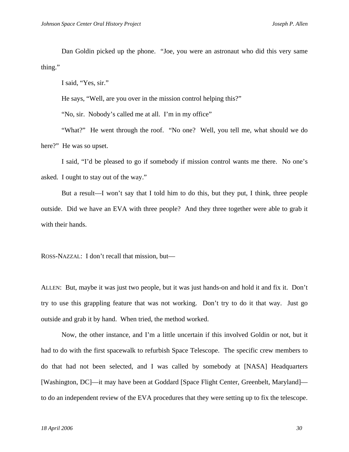Dan Goldin picked up the phone. "Joe, you were an astronaut who did this very same thing."

I said, "Yes, sir."

He says, "Well, are you over in the mission control helping this?"

"No, sir. Nobody's called me at all. I'm in my office"

"What?" He went through the roof. "No one? Well, you tell me, what should we do here?" He was so upset.

I said, "I'd be pleased to go if somebody if mission control wants me there. No one's asked. I ought to stay out of the way."

But a result—I won't say that I told him to do this, but they put, I think, three people outside. Did we have an EVA with three people? And they three together were able to grab it with their hands.

ROSS-NAZZAL: I don't recall that mission, but—

ALLEN: But, maybe it was just two people, but it was just hands-on and hold it and fix it. Don't try to use this grappling feature that was not working. Don't try to do it that way. Just go outside and grab it by hand. When tried, the method worked.

 Now, the other instance, and I'm a little uncertain if this involved Goldin or not, but it had to do with the first spacewalk to refurbish Space Telescope. The specific crew members to do that had not been selected, and I was called by somebody at [NASA] Headquarters [Washington, DC]—it may have been at Goddard [Space Flight Center, Greenbelt, Maryland] to do an independent review of the EVA procedures that they were setting up to fix the telescope.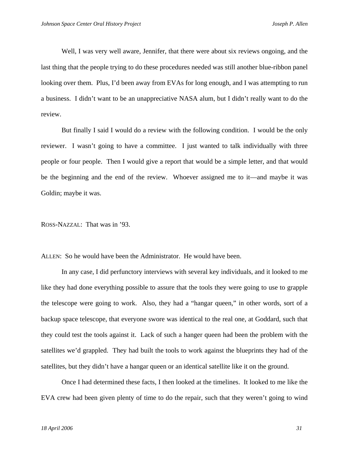Well, I was very well aware, Jennifer, that there were about six reviews ongoing, and the last thing that the people trying to do these procedures needed was still another blue-ribbon panel looking over them. Plus, I'd been away from EVAs for long enough, and I was attempting to run a business. I didn't want to be an unappreciative NASA alum, but I didn't really want to do the review.

But finally I said I would do a review with the following condition. I would be the only reviewer. I wasn't going to have a committee. I just wanted to talk individually with three people or four people. Then I would give a report that would be a simple letter, and that would be the beginning and the end of the review. Whoever assigned me to it—and maybe it was Goldin; maybe it was.

ROSS-NAZZAL: That was in '93.

ALLEN: So he would have been the Administrator. He would have been.

In any case, I did perfunctory interviews with several key individuals, and it looked to me like they had done everything possible to assure that the tools they were going to use to grapple the telescope were going to work. Also, they had a "hangar queen," in other words, sort of a backup space telescope, that everyone swore was identical to the real one, at Goddard, such that they could test the tools against it. Lack of such a hanger queen had been the problem with the satellites we'd grappled. They had built the tools to work against the blueprints they had of the satellites, but they didn't have a hangar queen or an identical satellite like it on the ground.

 Once I had determined these facts, I then looked at the timelines. It looked to me like the EVA crew had been given plenty of time to do the repair, such that they weren't going to wind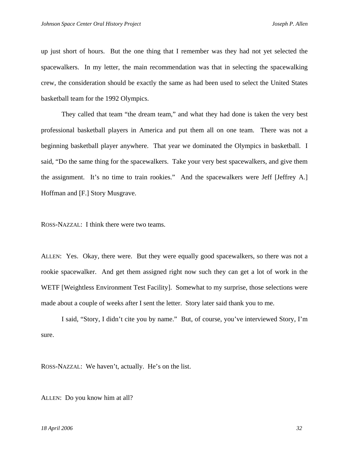up just short of hours. But the one thing that I remember was they had not yet selected the spacewalkers. In my letter, the main recommendation was that in selecting the spacewalking crew, the consideration should be exactly the same as had been used to select the United States basketball team for the 1992 Olympics.

 They called that team "the dream team," and what they had done is taken the very best professional basketball players in America and put them all on one team. There was not a beginning basketball player anywhere. That year we dominated the Olympics in basketball. I said, "Do the same thing for the spacewalkers. Take your very best spacewalkers, and give them the assignment. It's no time to train rookies." And the spacewalkers were Jeff [Jeffrey A.] Hoffman and [F.] Story Musgrave.

ROSS-NAZZAL: I think there were two teams.

ALLEN: Yes. Okay, there were. But they were equally good spacewalkers, so there was not a rookie spacewalker. And get them assigned right now such they can get a lot of work in the WETF [Weightless Environment Test Facility]. Somewhat to my surprise, those selections were made about a couple of weeks after I sent the letter. Story later said thank you to me.

 I said, "Story, I didn't cite you by name." But, of course, you've interviewed Story, I'm sure.

ROSS-NAZZAL: We haven't, actually. He's on the list.

ALLEN: Do you know him at all?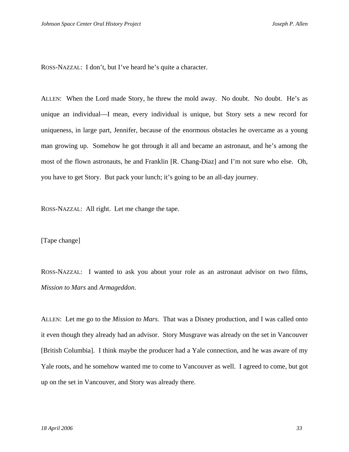ROSS-NAZZAL: I don't, but I've heard he's quite a character.

ALLEN: When the Lord made Story, he threw the mold away. No doubt. No doubt. He's as unique an individual—I mean, every individual is unique, but Story sets a new record for uniqueness, in large part, Jennifer, because of the enormous obstacles he overcame as a young man growing up. Somehow he got through it all and became an astronaut, and he's among the most of the flown astronauts, he and Franklin [R. Chang-Diaz] and I'm not sure who else. Oh, you have to get Story. But pack your lunch; it's going to be an all-day journey.

ROSS-NAZZAL: All right. Let me change the tape.

[Tape change]

ROSS-NAZZAL: I wanted to ask you about your role as an astronaut advisor on two films, *Mission to Mars* and *Armageddon*.

ALLEN: Let me go to the *Mission to Mars*. That was a Disney production, and I was called onto it even though they already had an advisor. Story Musgrave was already on the set in Vancouver [British Columbia]. I think maybe the producer had a Yale connection, and he was aware of my Yale roots, and he somehow wanted me to come to Vancouver as well. I agreed to come, but got up on the set in Vancouver, and Story was already there.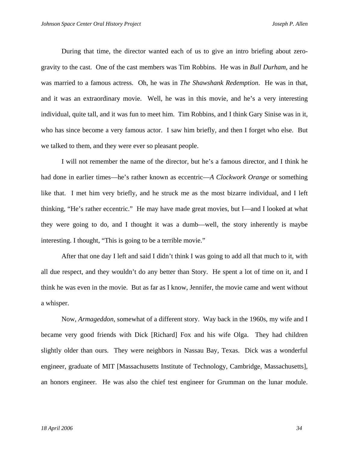During that time, the director wanted each of us to give an intro briefing about zerogravity to the cast. One of the cast members was Tim Robbins. He was in *Bull Durham*, and he was married to a famous actress. Oh, he was in *The Shawshank Redemption*. He was in that, and it was an extraordinary movie. Well, he was in this movie, and he's a very interesting individual, quite tall, and it was fun to meet him. Tim Robbins, and I think Gary Sinise was in it, who has since become a very famous actor. I saw him briefly, and then I forget who else. But we talked to them, and they were ever so pleasant people.

I will not remember the name of the director, but he's a famous director, and I think he had done in earlier times—he's rather known as eccentric—*A Clockwork Orange* or something like that. I met him very briefly, and he struck me as the most bizarre individual, and I left thinking, "He's rather eccentric." He may have made great movies, but I—and I looked at what they were going to do, and I thought it was a dumb—well, the story inherently is maybe interesting. I thought, "This is going to be a terrible movie."

After that one day I left and said I didn't think I was going to add all that much to it, with all due respect, and they wouldn't do any better than Story. He spent a lot of time on it, and I think he was even in the movie. But as far as I know, Jennifer, the movie came and went without a whisper.

Now, *Armageddon*, somewhat of a different story. Way back in the 1960s, my wife and I became very good friends with Dick [Richard] Fox and his wife Olga. They had children slightly older than ours. They were neighbors in Nassau Bay, Texas. Dick was a wonderful engineer, graduate of MIT [Massachusetts Institute of Technology, Cambridge, Massachusetts], an honors engineer. He was also the chief test engineer for Grumman on the lunar module.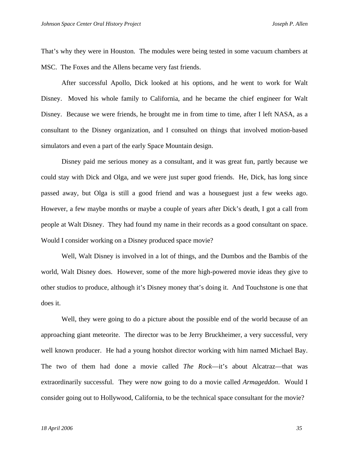That's why they were in Houston. The modules were being tested in some vacuum chambers at MSC. The Foxes and the Allens became very fast friends.

After successful Apollo, Dick looked at his options, and he went to work for Walt Disney. Moved his whole family to California, and he became the chief engineer for Walt Disney. Because we were friends, he brought me in from time to time, after I left NASA, as a consultant to the Disney organization, and I consulted on things that involved motion-based simulators and even a part of the early Space Mountain design.

Disney paid me serious money as a consultant, and it was great fun, partly because we could stay with Dick and Olga, and we were just super good friends. He, Dick, has long since passed away, but Olga is still a good friend and was a houseguest just a few weeks ago. However, a few maybe months or maybe a couple of years after Dick's death, I got a call from people at Walt Disney. They had found my name in their records as a good consultant on space. Would I consider working on a Disney produced space movie?

Well, Walt Disney is involved in a lot of things, and the Dumbos and the Bambis of the world, Walt Disney does. However, some of the more high-powered movie ideas they give to other studios to produce, although it's Disney money that's doing it. And Touchstone is one that does it.

Well, they were going to do a picture about the possible end of the world because of an approaching giant meteorite. The director was to be Jerry Bruckheimer, a very successful, very well known producer. He had a young hotshot director working with him named Michael Bay. The two of them had done a movie called *The Rock*—it's about Alcatraz—that was extraordinarily successful. They were now going to do a movie called *Armageddon*. Would I consider going out to Hollywood, California, to be the technical space consultant for the movie?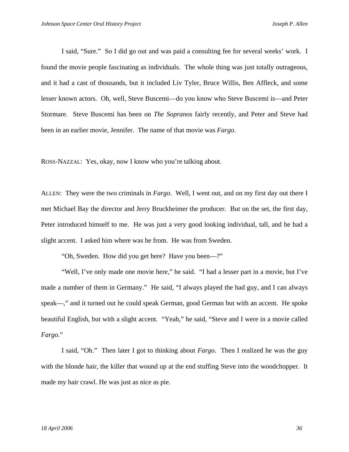I said, "Sure." So I did go out and was paid a consulting fee for several weeks' work. I found the movie people fascinating as individuals. The whole thing was just totally outrageous, and it had a cast of thousands, but it included Liv Tyler, Bruce Willis, Ben Affleck, and some lesser known actors. Oh, well, Steve Buscemi—do you know who Steve Buscemi is—and Peter Stormare. Steve Buscemi has been on *The Sopranos* fairly recently, and Peter and Steve had been in an earlier movie, Jennifer. The name of that movie was *Fargo*.

ROSS-NAZZAL: Yes, okay, now I know who you're talking about.

ALLEN: They were the two criminals in *Fargo*. Well, I went out, and on my first day out there I met Michael Bay the director and Jerry Bruckheimer the producer. But on the set, the first day, Peter introduced himself to me. He was just a very good looking individual, tall, and he had a slight accent. I asked him where was he from. He was from Sweden.

"Oh, Sweden. How did you get here? Have you been—?"

 "Well, I've only made one movie here," he said. "I had a lesser part in a movie, but I've made a number of them in Germany." He said, "I always played the bad guy, and I can always speak—," and it turned out he could speak German, good German but with an accent. He spoke beautiful English, but with a slight accent. "Yeah," he said, "Steve and I were in a movie called *Fargo*."

 I said, "Oh." Then later I got to thinking about *Fargo*. Then I realized he was the guy with the blonde hair, the killer that wound up at the end stuffing Steve into the woodchopper. It made my hair crawl. He was just as nice as pie.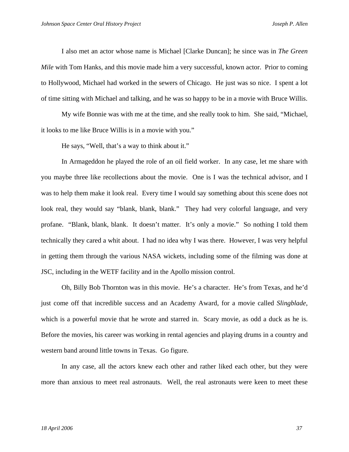I also met an actor whose name is Michael [Clarke Duncan]; he since was in *The Green Mile* with Tom Hanks, and this movie made him a very successful, known actor. Prior to coming to Hollywood, Michael had worked in the sewers of Chicago. He just was so nice. I spent a lot of time sitting with Michael and talking, and he was so happy to be in a movie with Bruce Willis.

My wife Bonnie was with me at the time, and she really took to him. She said, "Michael, it looks to me like Bruce Willis is in a movie with you."

He says, "Well, that's a way to think about it."

 In Armageddon he played the role of an oil field worker. In any case, let me share with you maybe three like recollections about the movie. One is I was the technical advisor, and I was to help them make it look real. Every time I would say something about this scene does not look real, they would say "blank, blank, blank." They had very colorful language, and very profane. "Blank, blank, blank. It doesn't matter. It's only a movie." So nothing I told them technically they cared a whit about. I had no idea why I was there. However, I was very helpful in getting them through the various NASA wickets, including some of the filming was done at JSC, including in the WETF facility and in the Apollo mission control.

 Oh, Billy Bob Thornton was in this movie. He's a character. He's from Texas, and he'd just come off that incredible success and an Academy Award, for a movie called *Slingblade*, which is a powerful movie that he wrote and starred in. Scary movie, as odd a duck as he is. Before the movies, his career was working in rental agencies and playing drums in a country and western band around little towns in Texas. Go figure.

In any case, all the actors knew each other and rather liked each other, but they were more than anxious to meet real astronauts. Well, the real astronauts were keen to meet these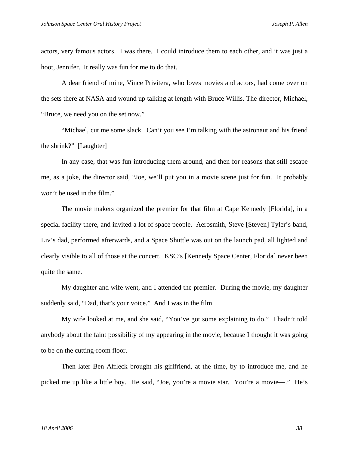actors, very famous actors. I was there. I could introduce them to each other, and it was just a hoot, Jennifer. It really was fun for me to do that.

A dear friend of mine, Vince Privitera, who loves movies and actors, had come over on the sets there at NASA and wound up talking at length with Bruce Willis. The director, Michael, "Bruce, we need you on the set now."

"Michael, cut me some slack. Can't you see I'm talking with the astronaut and his friend the shrink?" [Laughter]

In any case, that was fun introducing them around, and then for reasons that still escape me, as a joke, the director said, "Joe, we'll put you in a movie scene just for fun. It probably won't be used in the film."

The movie makers organized the premier for that film at Cape Kennedy [Florida], in a special facility there, and invited a lot of space people. Aerosmith, Steve [Steven] Tyler's band, Liv's dad, performed afterwards, and a Space Shuttle was out on the launch pad, all lighted and clearly visible to all of those at the concert. KSC's [Kennedy Space Center, Florida] never been quite the same.

My daughter and wife went, and I attended the premier. During the movie, my daughter suddenly said, "Dad, that's your voice." And I was in the film.

My wife looked at me, and she said, "You've got some explaining to do." I hadn't told anybody about the faint possibility of my appearing in the movie, because I thought it was going to be on the cutting-room floor.

Then later Ben Affleck brought his girlfriend, at the time, by to introduce me, and he picked me up like a little boy. He said, "Joe, you're a movie star. You're a movie—." He's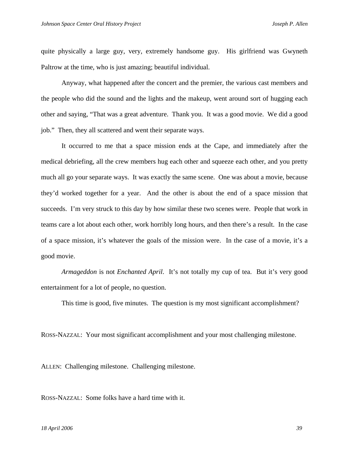quite physically a large guy, very, extremely handsome guy. His girlfriend was Gwyneth Paltrow at the time, who is just amazing; beautiful individual.

Anyway, what happened after the concert and the premier, the various cast members and the people who did the sound and the lights and the makeup, went around sort of hugging each other and saying, "That was a great adventure. Thank you. It was a good movie. We did a good job." Then, they all scattered and went their separate ways.

It occurred to me that a space mission ends at the Cape, and immediately after the medical debriefing, all the crew members hug each other and squeeze each other, and you pretty much all go your separate ways. It was exactly the same scene. One was about a movie, because they'd worked together for a year. And the other is about the end of a space mission that succeeds. I'm very struck to this day by how similar these two scenes were. People that work in teams care a lot about each other, work horribly long hours, and then there's a result. In the case of a space mission, it's whatever the goals of the mission were. In the case of a movie, it's a good movie.

*Armageddon* is not *Enchanted April*. It's not totally my cup of tea. But it's very good entertainment for a lot of people, no question.

This time is good, five minutes. The question is my most significant accomplishment?

ROSS-NAZZAL: Your most significant accomplishment and your most challenging milestone.

ALLEN: Challenging milestone. Challenging milestone.

ROSS-NAZZAL: Some folks have a hard time with it.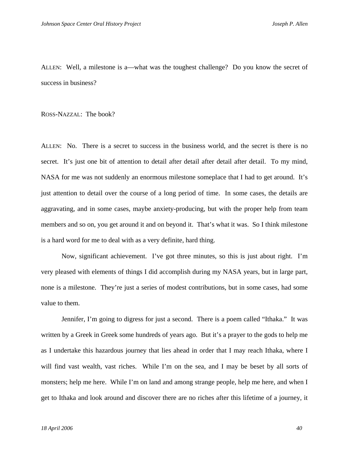ALLEN: Well, a milestone is a—what was the toughest challenge? Do you know the secret of success in business?

ROSS-NAZZAL: The book?

ALLEN: No. There is a secret to success in the business world, and the secret is there is no secret. It's just one bit of attention to detail after detail after detail after detail. To my mind, NASA for me was not suddenly an enormous milestone someplace that I had to get around. It's just attention to detail over the course of a long period of time. In some cases, the details are aggravating, and in some cases, maybe anxiety-producing, but with the proper help from team members and so on, you get around it and on beyond it. That's what it was. So I think milestone is a hard word for me to deal with as a very definite, hard thing.

 Now, significant achievement. I've got three minutes, so this is just about right. I'm very pleased with elements of things I did accomplish during my NASA years, but in large part, none is a milestone. They're just a series of modest contributions, but in some cases, had some value to them.

Jennifer, I'm going to digress for just a second. There is a poem called "Ithaka." It was written by a Greek in Greek some hundreds of years ago. But it's a prayer to the gods to help me as I undertake this hazardous journey that lies ahead in order that I may reach Ithaka, where I will find vast wealth, vast riches. While I'm on the sea, and I may be beset by all sorts of monsters; help me here. While I'm on land and among strange people, help me here, and when I get to Ithaka and look around and discover there are no riches after this lifetime of a journey, it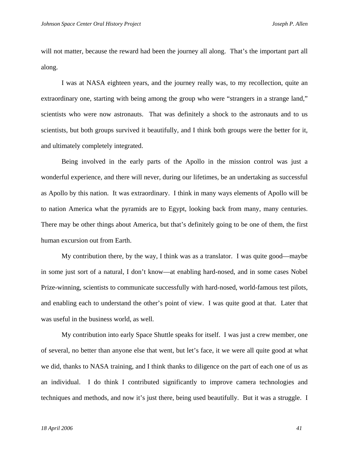will not matter, because the reward had been the journey all along. That's the important part all along.

I was at NASA eighteen years, and the journey really was, to my recollection, quite an extraordinary one, starting with being among the group who were "strangers in a strange land," scientists who were now astronauts. That was definitely a shock to the astronauts and to us scientists, but both groups survived it beautifully, and I think both groups were the better for it, and ultimately completely integrated.

Being involved in the early parts of the Apollo in the mission control was just a wonderful experience, and there will never, during our lifetimes, be an undertaking as successful as Apollo by this nation. It was extraordinary. I think in many ways elements of Apollo will be to nation America what the pyramids are to Egypt, looking back from many, many centuries. There may be other things about America, but that's definitely going to be one of them, the first human excursion out from Earth.

My contribution there, by the way, I think was as a translator. I was quite good—maybe in some just sort of a natural, I don't know—at enabling hard-nosed, and in some cases Nobel Prize-winning, scientists to communicate successfully with hard-nosed, world-famous test pilots, and enabling each to understand the other's point of view. I was quite good at that. Later that was useful in the business world, as well.

My contribution into early Space Shuttle speaks for itself. I was just a crew member, one of several, no better than anyone else that went, but let's face, it we were all quite good at what we did, thanks to NASA training, and I think thanks to diligence on the part of each one of us as an individual. I do think I contributed significantly to improve camera technologies and techniques and methods, and now it's just there, being used beautifully. But it was a struggle. I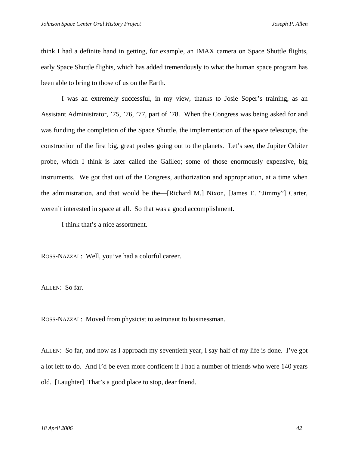think I had a definite hand in getting, for example, an IMAX camera on Space Shuttle flights, early Space Shuttle flights, which has added tremendously to what the human space program has been able to bring to those of us on the Earth.

I was an extremely successful, in my view, thanks to Josie Soper's training, as an Assistant Administrator, '75, '76, '77, part of '78. When the Congress was being asked for and was funding the completion of the Space Shuttle, the implementation of the space telescope, the construction of the first big, great probes going out to the planets. Let's see, the Jupiter Orbiter probe, which I think is later called the Galileo; some of those enormously expensive, big instruments. We got that out of the Congress, authorization and appropriation, at a time when the administration, and that would be the—[Richard M.] Nixon, [James E. "Jimmy"] Carter, weren't interested in space at all. So that was a good accomplishment.

I think that's a nice assortment.

ROSS-NAZZAL: Well, you've had a colorful career.

ALLEN: So far.

ROSS-NAZZAL: Moved from physicist to astronaut to businessman.

ALLEN: So far, and now as I approach my seventieth year, I say half of my life is done. I've got a lot left to do. And I'd be even more confident if I had a number of friends who were 140 years old. [Laughter] That's a good place to stop, dear friend.